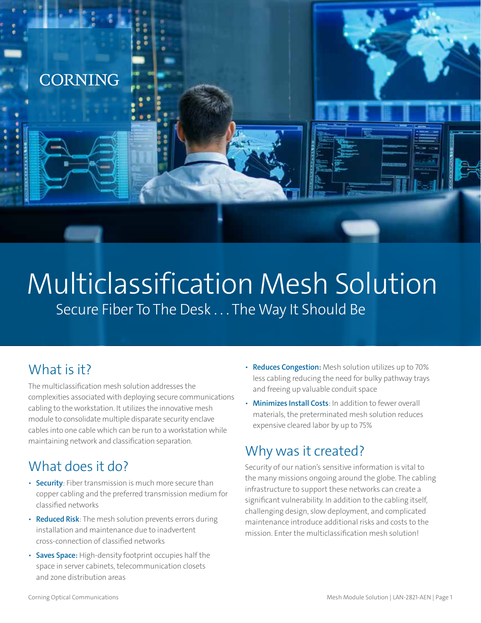

# Multiclassification Mesh Solution Secure Fiber To The Desk . . . The Way It Should Be

# What is it?

The multiclassification mesh solution addresses the complexities associated with deploying secure communications cabling to the workstation. It utilizes the innovative mesh module to consolidate multiple disparate security enclave cables into one cable which can be run to a workstation while maintaining network and classification separation.

# What does it do?

- **Security**: Fiber transmission is much more secure than copper cabling and the preferred transmission medium for classified networks
- **Reduced Risk**: The mesh solution prevents errors during installation and maintenance due to inadvertent cross-connection of classified networks
- **Saves Space:** High-density footprint occupies half the space in server cabinets, telecommunication closets and zone distribution areas
- **Reduces Congestion:** Mesh solution utilizes up to 70% less cabling reducing the need for bulky pathway trays and freeing up valuable conduit space
- **Minimizes Install Costs**: In addition to fewer overall materials, the preterminated mesh solution reduces expensive cleared labor by up to 75%

# Why was it created?

Security of our nation's sensitive information is vital to the many missions ongoing around the globe. The cabling infrastructure to support these networks can create a significant vulnerability. In addition to the cabling itself, challenging design, slow deployment, and complicated maintenance introduce additional risks and costs to the mission. Enter the multiclassification mesh solution!